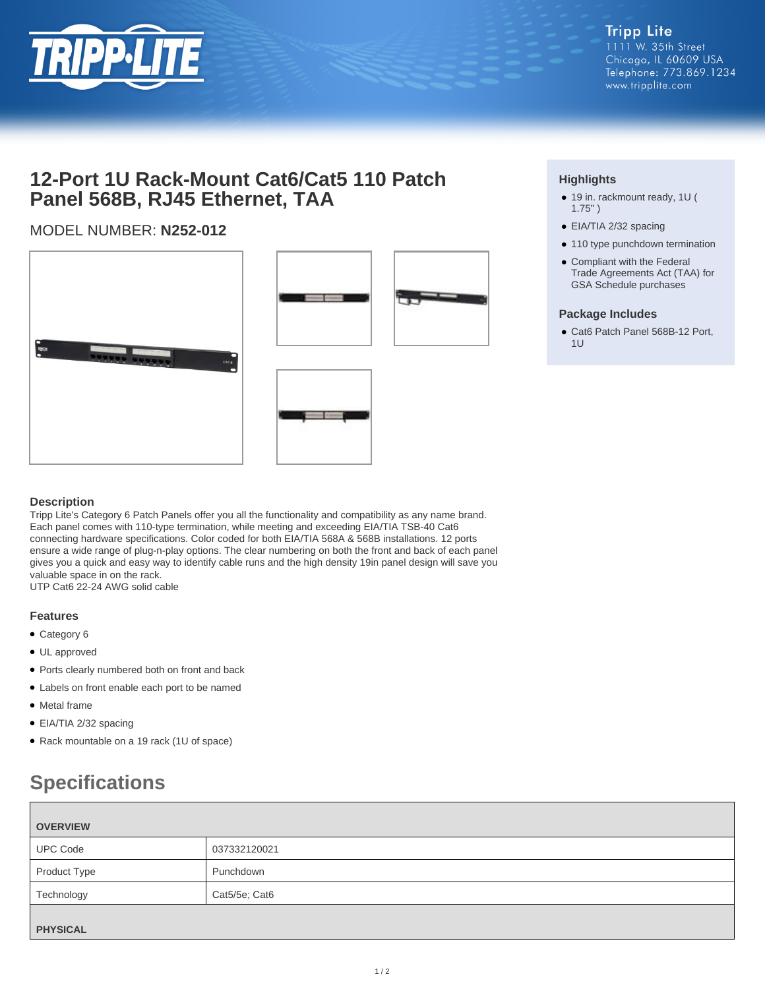

## **12-Port 1U Rack-Mount Cat6/Cat5 110 Patch Panel 568B, RJ45 Ethernet, TAA**

### MODEL NUMBER: **N252-012**







#### **Highlights**

- 19 in. rackmount ready, 1U ( 1.75" )
- EIA/TIA 2/32 spacing
- 110 type punchdown termination
- Compliant with the Federal Trade Agreements Act (TAA) for GSA Schedule purchases

#### **Package Includes**

● Cat6 Patch Panel 568B-12 Port,  $111$ 

#### **Description**

Tripp Lite's Category 6 Patch Panels offer you all the functionality and compatibility as any name brand. Each panel comes with 110-type termination, while meeting and exceeding EIA/TIA TSB-40 Cat6 connecting hardware specifications. Color coded for both EIA/TIA 568A & 568B installations. 12 ports ensure a wide range of plug-n-play options. The clear numbering on both the front and back of each panel gives you a quick and easy way to identify cable runs and the high density 19in panel design will save you valuable space in on the rack. UTP Cat6 22-24 AWG solid cable

- **Features** ● Category 6
- UL approved
- Ports clearly numbered both on front and back
- Labels on front enable each port to be named
- Metal frame
- EIA/TIA 2/32 spacing
- Rack mountable on a 19 rack (1U of space)

# **Specifications**

| <b>OVERVIEW</b> |               |  |
|-----------------|---------------|--|
| <b>UPC Code</b> | 037332120021  |  |
| Product Type    | Punchdown     |  |
| Technology      | Cat5/5e; Cat6 |  |
| <b>PHYSICAL</b> |               |  |